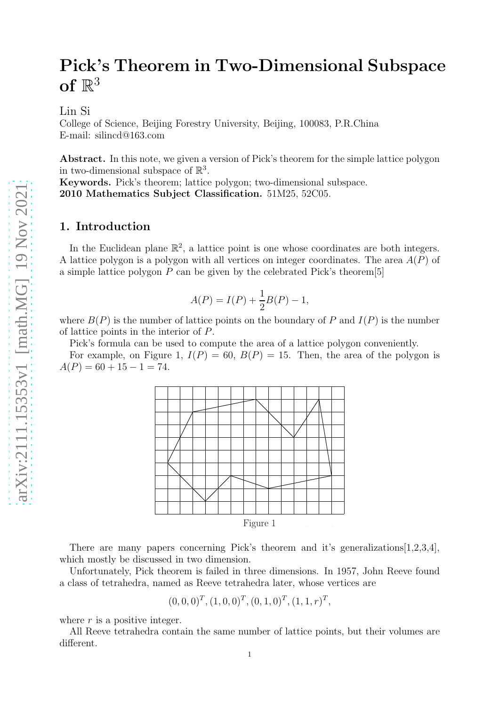# Pick's Theorem in Two-Dimensional Subspace of  $\mathbb{R}^3$

Lin Si

College of Science, Beijing Forestry University, Beijing, 100083, P.R.China E-mail: silincd@163.com

Abstract. In this note, we given a version of Pick's theorem for the simple lattice polygon in two-dimensional subspace of  $\mathbb{R}^3$ .

Keywords. Pick's theorem; lattice polygon; two-dimensional subspace. 2010 Mathematics Subject Classification. 51M25, 52C05.

## 1. Introduction

In the Euclidean plane  $\mathbb{R}^2$ , a lattice point is one whose coordinates are both integers. A lattice polygon is a polygon with all vertices on integer coordinates. The area  $A(P)$  of a simple lattice polygon  $P$  can be given by the celebrated Pick's theorem<sup>[5]</sup>

$$
A(P) = I(P) + \frac{1}{2}B(P) - 1,
$$

where  $B(P)$  is the number of lattice points on the boundary of P and  $I(P)$  is the number of lattice points in the interior of P.

Pick's formula can be used to compute the area of a lattice polygon conveniently.

For example, on Figure 1,  $I(P) = 60$ ,  $B(P) = 15$ . Then, the area of the polygon is  $A(P) = 60 + 15 - 1 = 74.$ 



There are many papers concerning Pick's theorem and it's generalizations [1,2,3,4], which mostly be discussed in two dimension.

Unfortunately, Pick theorem is failed in three dimensions. In 1957, John Reeve found a class of tetrahedra, named as Reeve tetrahedra later, whose vertices are

$$
(0,0,0)^T, (1,0,0)^T, (0,1,0)^T, (1,1,r)^T,
$$

where  $r$  is a positive integer.

All Reeve tetrahedra contain the same number of lattice points, but their volumes are different. 1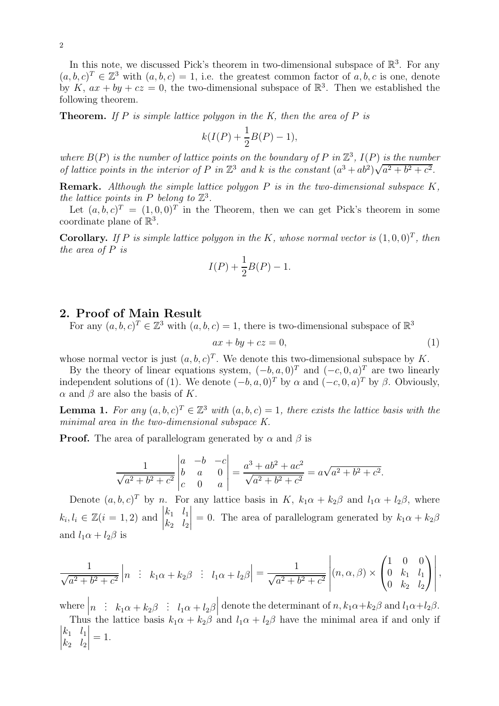In this note, we discussed Pick's theorem in two-dimensional subspace of  $\mathbb{R}^3$ . For any  $(a, b, c)^T \in \mathbb{Z}^3$  with  $(a, b, c) = 1$ , i.e. the greatest common factor of a, b, c is one, denote by K,  $ax + by + cz = 0$ , the two-dimensional subspace of  $\mathbb{R}^3$ . Then we established the following theorem.

**Theorem.** If P is simple lattice polygon in the K, then the area of P is

$$
k(I(P) + \frac{1}{2}B(P) - 1),
$$

where  $B(P)$  is the number of lattice points on the boundary of P in  $\mathbb{Z}^3$ ,  $I(P)$  is the number of lattice points in the interior of P in  $\mathbb{Z}^3$  and k is the constant  $(a^3 + ab^2)\sqrt{a^2 + b^2 + c^2}$ .

**Remark.** Although the simple lattice polygon  $P$  is in the two-dimensional subspace  $K$ , the lattice points in P belong to  $\mathbb{Z}^3$ .

Let  $(a, b, c)^T = (1, 0, 0)^T$  in the Theorem, then we can get Pick's theorem in some coordinate plane of  $\mathbb{R}^3$ .

**Corollary.** If P is simple lattice polygon in the K, whose normal vector is  $(1,0,0)^T$ , then the area of P is

$$
I(P) + \frac{1}{2}B(P) - 1.
$$

### 2. Proof of Main Result

For any  $(a, b, c)^T \in \mathbb{Z}^3$  with  $(a, b, c) = 1$ , there is two-dimensional subspace of  $\mathbb{R}^3$ 

$$
ax + by + cz = 0,\t\t(1)
$$

whose normal vector is just  $(a, b, c)^T$ . We denote this two-dimensional subspace by K.

By the theory of linear equations system,  $(-b, a, 0)^T$  and  $(-c, 0, a)^T$  are two linearly independent solutions of (1). We denote  $(-b, a, 0)^T$  by  $\alpha$  and  $(-c, 0, a)^T$  by  $\beta$ . Obviously,  $\alpha$  and  $\beta$  are also the basis of K.

**Lemma 1.** For any  $(a, b, c)^T \in \mathbb{Z}^3$  with  $(a, b, c) = 1$ , there exists the lattice basis with the minimal area in the two-dimensional subspace K.

**Proof.** The area of parallelogram generated by  $\alpha$  and  $\beta$  is

$$
\frac{1}{\sqrt{a^2 + b^2 + c^2}} \begin{vmatrix} a & -b & -c \\ b & a & 0 \\ c & 0 & a \end{vmatrix} = \frac{a^3 + ab^2 + ac^2}{\sqrt{a^2 + b^2 + c^2}} = a\sqrt{a^2 + b^2 + c^2}.
$$

Denote  $(a, b, c)^T$  by n. For any lattice basis in K,  $k_1\alpha + k_2\beta$  and  $l_1\alpha + l_2\beta$ , where  $k_i, l_i \in \mathbb{Z}(i = 1, 2)$  and  $\Big|$  $k_1$   $l_1$  $k_2$   $l_2$  $\begin{array}{c} \begin{array}{c} \begin{array}{c} \end{array} \\ \begin{array}{c} \end{array} \end{array} \end{array}$ = 0. The area of parallelogram generated by  $k_1\alpha + k_2\beta$ and  $l_1\alpha + l_2\beta$  is

$$
\frac{1}{\sqrt{a^2+b^2+c^2}}\Big| n \quad : \quad k_1\alpha+k_2\beta \quad : \quad l_1\alpha+l_2\beta\Big| = \frac{1}{\sqrt{a^2+b^2+c^2}}\left| (n,\alpha,\beta) \times \begin{pmatrix} 1 & 0 & 0 \\ 0 & k_1 & l_1 \\ 0 & k_2 & l_2 \end{pmatrix} \right|,
$$

where  $\begin{vmatrix} n & h \\ h & h \end{vmatrix}$   $k_1\alpha + k_2\beta$  :  $l_1\alpha + l_2\beta$ denote the determinant of  $n, k_1\alpha+k_2\beta$  and  $l_1\alpha+l_2\beta$ .

Thus the lattice basis  $k_1\alpha + k_2\beta$  and  $l_1\alpha + l_2\beta$  have the minimal area if and only if  $\begin{array}{c} \begin{array}{c} \begin{array}{c} \end{array} \\ \begin{array}{c} \end{array} \end{array} \end{array}$  $k_1$   $l_1$  $k_2$   $l_2$   $= 1.$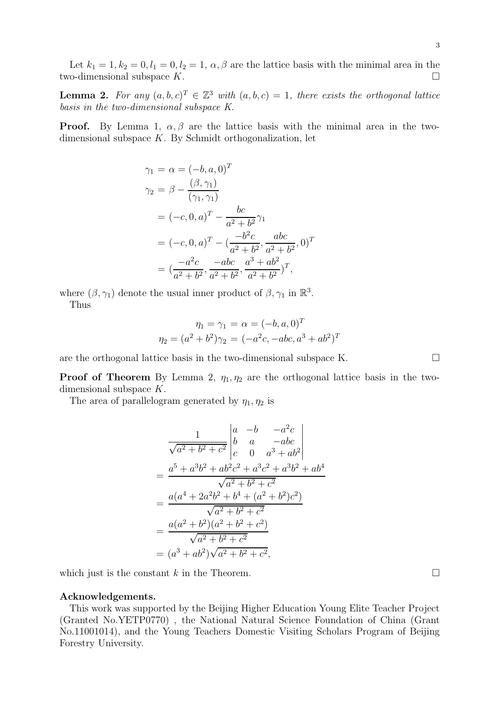**Lemma 2.** For any  $(a, b, c)^T \in \mathbb{Z}^3$  with  $(a, b, c) = 1$ , there exists the orthogonal lattice basis in the two-dimensional subspace K.

**Proof.** By Lemma 1,  $\alpha, \beta$  are the lattice basis with the minimal area in the twodimensional subspace K. By Schmidt orthogonalization, let

$$
\gamma_1 = \alpha = (-b, a, 0)^T
$$
  
\n
$$
\gamma_2 = \beta - \frac{(\beta, \gamma_1)}{(\gamma_1, \gamma_1)}
$$
  
\n
$$
= (-c, 0, a)^T - \frac{bc}{a^2 + b^2} \gamma_1
$$
  
\n
$$
= (-c, 0, a)^T - (\frac{-b^2c}{a^2 + b^2}, \frac{abc}{a^2 + b^2}, 0)^T
$$
  
\n
$$
= (\frac{-a^2c}{a^2 + b^2}, \frac{-abc}{a^2 + b^2}, \frac{a^3 + ab^2}{a^2 + b^2})^T,
$$

where  $(\beta, \gamma_1)$  denote the usual inner product of  $\beta, \gamma_1$  in  $\mathbb{R}^3$ . Thus

$$
\eta_1 = \gamma_1 = \alpha = (-b, a, 0)^T
$$

$$
\eta_2 = (a^2 + b^2)\gamma_2 = (-a^2c, -abc, a^3 + ab^2)^T
$$

are the orthogonal lattice basis in the two-dimensional subspace K.  $\Box$ 

**Proof of Theorem** By Lemma 2,  $\eta_1, \eta_2$  are the orthogonal lattice basis in the twodimensional subspace K.

The area of parallelogram generated by  $\eta_1, \eta_2$  is

$$
\frac{1}{\sqrt{a^2 + b^2 + c^2}} \begin{vmatrix} a & -b & -a^2c \\ b & a & -abc \\ c & 0 & a^3 + ab^2 \end{vmatrix}
$$
  
= 
$$
\frac{a^5 + a^3b^2 + ab^2c^2 + a^3c^2 + a^3b^2 + ab^4}{\sqrt{a^2 + b^2 + c^2}}
$$
  
= 
$$
\frac{a(a^4 + 2a^2b^2 + b^4 + (a^2 + b^2)c^2)}{\sqrt{a^2 + b^2 + c^2}}
$$
  
= 
$$
\frac{a(a^2 + b^2)(a^2 + b^2 + c^2)}{\sqrt{a^2 + b^2 + c^2}}
$$
  
= 
$$
(a^3 + ab^2)\sqrt{a^2 + b^2 + c^2},
$$

which just is the constant k in the Theorem.  $\Box$ 

#### Acknowledgements.

This work was supported by the Beijing Higher Education Young Elite Teacher Project (Granted No.YETP0770) , the National Natural Science Foundation of China (Grant No.11001014), and the Young Teachers Domestic Visiting Scholars Program of Beijing Forestry University.